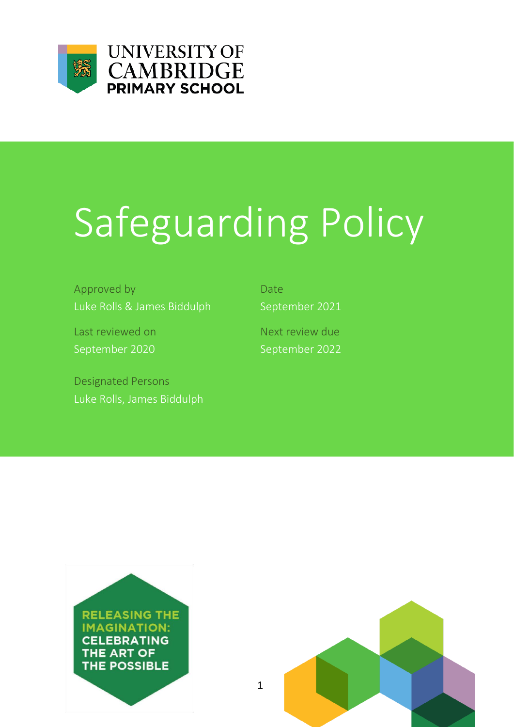



# Safeguarding Policy

Approved by Date Date Luke Rolls & James Biddulph September 2021

Last reviewed on Next review due September 2020 September 2022

Designated Persons Luke Rolls, James Biddulph



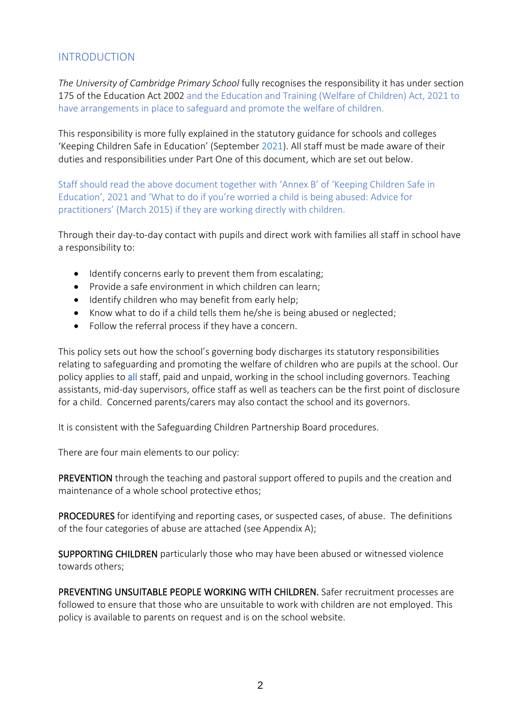# INTRODUCTION

*The University of Cambridge Primary School* fully recognises the responsibility it has under section 175 of the Education Act 2002 and the Education and Training (Welfare of Children) Act, 2021 to have arrangements in place to safeguard and promote the welfare of children.

This responsibility is more fully explained in the statutory guidance for schools and colleges 'Keeping Children Safe in Education' (September 2021). All staff must be made aware of their duties and responsibilities under Part One of this document, which are set out below.

Staff should read the above document together with 'Annex B' of 'Keeping Children Safe in Education', 2021 and 'What to do if you're worried a child is being abused: Advice for practitioners' (March 2015) if they are working directly with children.

Through their day-to-day contact with pupils and direct work with families all staff in school have a responsibility to:

- Identify concerns early to prevent them from escalating;
- Provide a safe environment in which children can learn;
- Identify children who may benefit from early help;
- Know what to do if a child tells them he/she is being abused or neglected;
- Follow the referral process if they have a concern.

This policy sets out how the school's governing body discharges its statutory responsibilities relating to safeguarding and promoting the welfare of children who are pupils at the school. Our policy applies to all staff, paid and unpaid, working in the school including governors. Teaching assistants, mid-day supervisors, office staff as well as teachers can be the first point of disclosure for a child. Concerned parents/carers may also contact the school and its governors.

It is consistent with the Safeguarding Children Partnership Board procedures.

There are four main elements to our policy:

PREVENTION through the teaching and pastoral support offered to pupils and the creation and maintenance of a whole school protective ethos;

PROCEDURES for identifying and reporting cases, or suspected cases, of abuse. The definitions of the four categories of abuse are attached (see Appendix A);

SUPPORTING CHILDREN particularly those who may have been abused or witnessed violence towards others;

PREVENTING UNSUITABLE PEOPLE WORKING WITH CHILDREN. Safer recruitment processes are followed to ensure that those who are unsuitable to work with children are not employed. This policy is available to parents on request and is on the school website.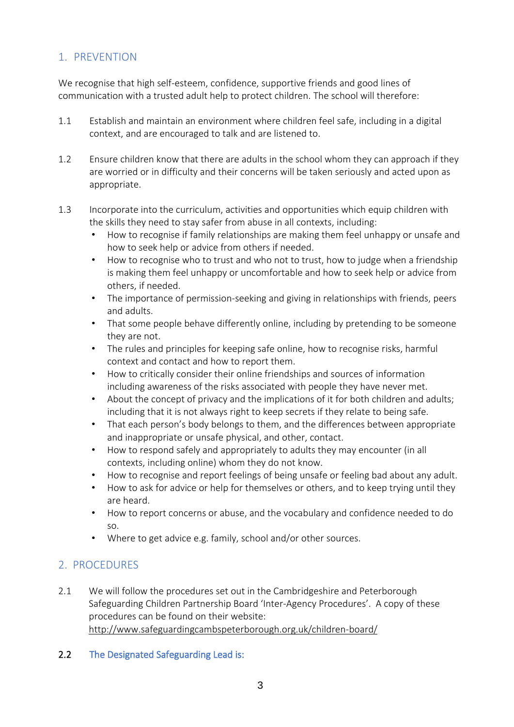# 1. PREVENTION

We recognise that high self-esteem, confidence, supportive friends and good lines of communication with a trusted adult help to protect children. The school will therefore:

- 1.1 Establish and maintain an environment where children feel safe, including in a digital context, and are encouraged to talk and are listened to.
- 1.2 Ensure children know that there are adults in the school whom they can approach if they are worried or in difficulty and their concerns will be taken seriously and acted upon as appropriate.
- 1.3 Incorporate into the curriculum, activities and opportunities which equip children with the skills they need to stay safer from abuse in all contexts, including:
	- How to recognise if family relationships are making them feel unhappy or unsafe and how to seek help or advice from others if needed.
	- How to recognise who to trust and who not to trust, how to judge when a friendship is making them feel unhappy or uncomfortable and how to seek help or advice from others, if needed.
	- The importance of permission-seeking and giving in relationships with friends, peers and adults.
	- That some people behave differently online, including by pretending to be someone they are not.
	- The rules and principles for keeping safe online, how to recognise risks, harmful context and contact and how to report them.
	- How to critically consider their online friendships and sources of information including awareness of the risks associated with people they have never met.
	- About the concept of privacy and the implications of it for both children and adults; including that it is not always right to keep secrets if they relate to being safe.
	- That each person's body belongs to them, and the differences between appropriate and inappropriate or unsafe physical, and other, contact.
	- How to respond safely and appropriately to adults they may encounter (in all contexts, including online) whom they do not know.
	- How to recognise and report feelings of being unsafe or feeling bad about any adult.
	- How to ask for advice or help for themselves or others, and to keep trying until they are heard.
	- How to report concerns or abuse, and the vocabulary and confidence needed to do so.
	- Where to get advice e.g. family, school and/or other sources.

# 2. PROCEDURES

2.1 We will follow the procedures set out in the Cambridgeshire and Peterborough Safeguarding Children Partnership Board 'Inter-Agency Procedures'. A copy of these procedures can be found on their website: <http://www.safeguardingcambspeterborough.org.uk/children-board/>

#### 2.2 The Designated Safeguarding Lead is: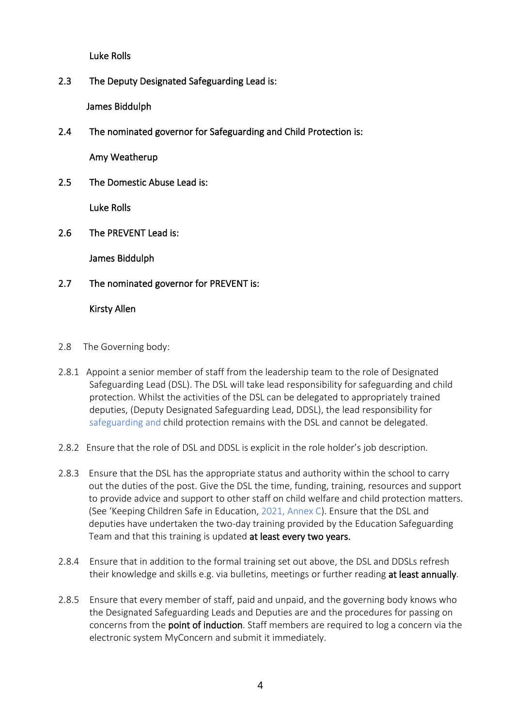Luke Rolls

2.3 The Deputy Designated Safeguarding Lead is:

James Biddulph

2.4 The nominated governor for Safeguarding and Child Protection is:

Amy Weatherup

2.5 The Domestic Abuse Lead is:

Luke Rolls

2.6 The PREVENT Lead is:

James Biddulph

2.7 The nominated governor for PREVENT is:

#### Kirsty Allen

- 2.8 The Governing body:
- 2.8.1 Appoint a senior member of staff from the leadership team to the role of Designated Safeguarding Lead (DSL). The DSL will take lead responsibility for safeguarding and child protection. Whilst the activities of the DSL can be delegated to appropriately trained deputies, (Deputy Designated Safeguarding Lead, DDSL), the lead responsibility for safeguarding and child protection remains with the DSL and cannot be delegated.
- 2.8.2 Ensure that the role of DSL and DDSL is explicit in the role holder's job description.
- 2.8.3 Ensure that the DSL has the appropriate status and authority within the school to carry out the duties of the post. Give the DSL the time, funding, training, resources and support to provide advice and support to other staff on child welfare and child protection matters. (See 'Keeping Children Safe in Education, 2021, Annex C). Ensure that the DSL and deputies have undertaken the two-day training provided by the Education Safeguarding Team and that this training is updated at least every two years.
- 2.8.4 Ensure that in addition to the formal training set out above, the DSL and DDSLs refresh their knowledge and skills e.g. via bulletins, meetings or further reading at least annually.
- 2.8.5 Ensure that every member of staff, paid and unpaid, and the governing body knows who the Designated Safeguarding Leads and Deputies are and the procedures for passing on concerns from the point of induction. Staff members are required to log a concern via the electronic system MyConcern and submit it immediately.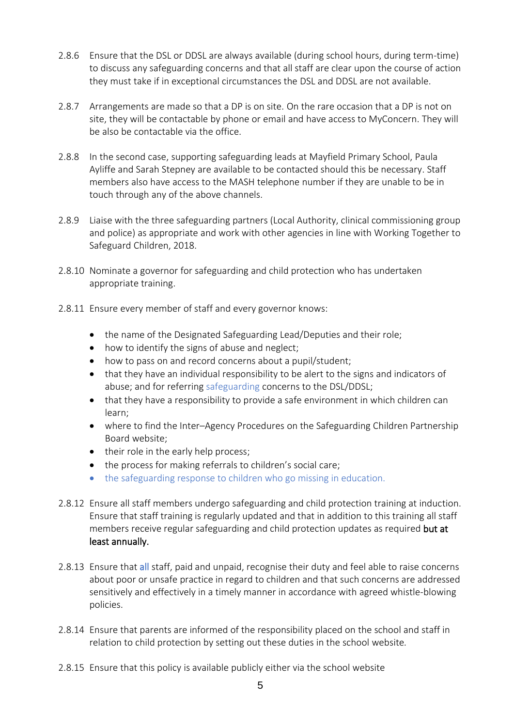- 2.8.6 Ensure that the DSL or DDSL are always available (during school hours, during term-time) to discuss any safeguarding concerns and that all staff are clear upon the course of action they must take if in exceptional circumstances the DSL and DDSL are not available.
- 2.8.7 Arrangements are made so that a DP is on site. On the rare occasion that a DP is not on site, they will be contactable by phone or email and have access to MyConcern. They will be also be contactable via the office.
- 2.8.8 In the second case, supporting safeguarding leads at Mayfield Primary School, Paula Ayliffe and Sarah Stepney are available to be contacted should this be necessary. Staff members also have access to the MASH telephone number if they are unable to be in touch through any of the above channels.
- 2.8.9 Liaise with the three safeguarding partners (Local Authority, clinical commissioning group and police) as appropriate and work with other agencies in line with Working Together to Safeguard Children, 2018.
- 2.8.10 Nominate a governor for safeguarding and child protection who has undertaken appropriate training.
- 2.8.11 Ensure every member of staff and every governor knows:
	- the name of the Designated Safeguarding Lead/Deputies and their role;
	- how to identify the signs of abuse and neglect;
	- how to pass on and record concerns about a pupil/student;
	- that they have an individual responsibility to be alert to the signs and indicators of abuse; and for referring safeguarding concerns to the DSL/DDSL;
	- that they have a responsibility to provide a safe environment in which children can learn;
	- where to find the Inter–Agency Procedures on the Safeguarding Children Partnership Board website;
	- their role in the early help process;
	- the process for making referrals to children's social care;
	- the safeguarding response to children who go missing in education.
- 2.8.12 Ensure all staff members undergo safeguarding and child protection training at induction. Ensure that staff training is regularly updated and that in addition to this training all staff members receive regular safeguarding and child protection updates as required but at least annually.
- 2.8.13 Ensure that all staff, paid and unpaid, recognise their duty and feel able to raise concerns about poor or unsafe practice in regard to children and that such concerns are addressed sensitively and effectively in a timely manner in accordance with agreed whistle-blowing policies.
- 2.8.14 Ensure that parents are informed of the responsibility placed on the school and staff in relation to child protection by setting out these duties in the school website*.*
- 2.8.15 Ensure that this policy is available publicly either via the school website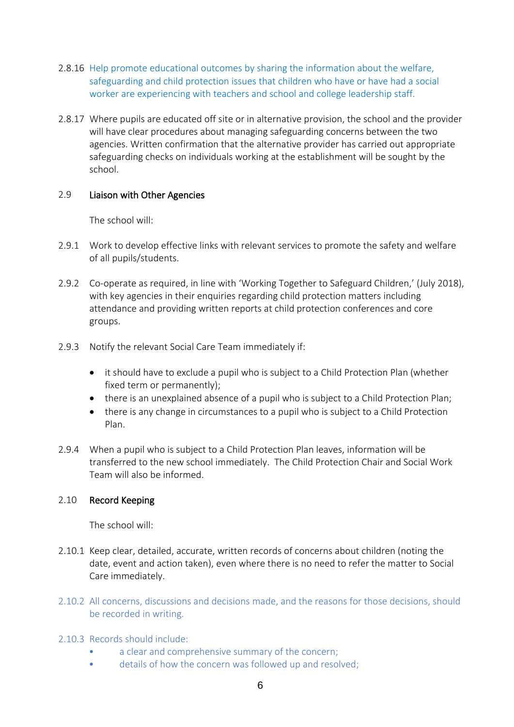- 2.8.16 Help promote educational outcomes by sharing the information about the welfare, safeguarding and child protection issues that children who have or have had a social worker are experiencing with teachers and school and college leadership staff.
- 2.8.17 Where pupils are educated off site or in alternative provision, the school and the provider will have clear procedures about managing safeguarding concerns between the two agencies. Written confirmation that the alternative provider has carried out appropriate safeguarding checks on individuals working at the establishment will be sought by the school.

#### 2.9 Liaison with Other Agencies

The school will:

- 2.9.1 Work to develop effective links with relevant services to promote the safety and welfare of all pupils/students.
- 2.9.2 Co-operate as required, in line with 'Working Together to Safeguard Children,' (July 2018), with key agencies in their enquiries regarding child protection matters including attendance and providing written reports at child protection conferences and core groups.
- 2.9.3 Notify the relevant Social Care Team immediately if:
	- it should have to exclude a pupil who is subject to a Child Protection Plan (whether fixed term or permanently);
	- there is an unexplained absence of a pupil who is subject to a Child Protection Plan;
	- there is any change in circumstances to a pupil who is subject to a Child Protection Plan.
- 2.9.4 When a pupil who is subject to a Child Protection Plan leaves, information will be transferred to the new school immediately. The Child Protection Chair and Social Work Team will also be informed.

#### 2.10 Record Keeping

The school will:

- 2.10.1 Keep clear, detailed, accurate, written records of concerns about children (noting the date, event and action taken), even where there is no need to refer the matter to Social Care immediately.
- 2.10.2 All concerns, discussions and decisions made, and the reasons for those decisions, should be recorded in writing.
- 2.10.3 Records should include:
	- a clear and comprehensive summary of the concern;
	- details of how the concern was followed up and resolved;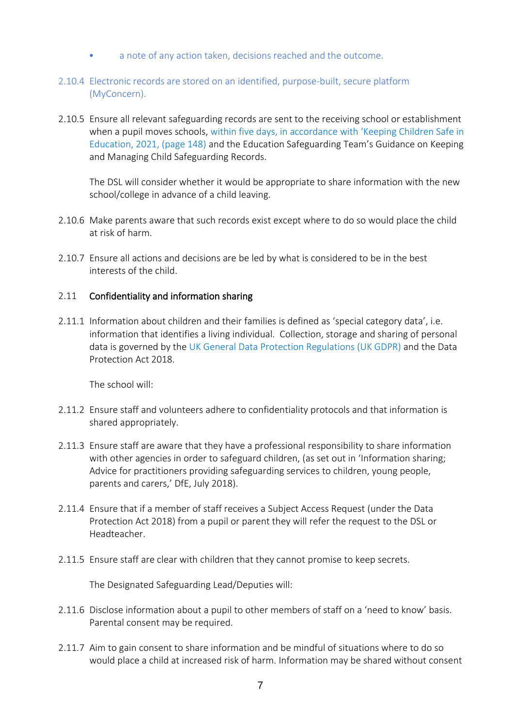- a note of any action taken, decisions reached and the outcome.
- 2.10.4 Electronic records are stored on an identified, purpose-built, secure platform (MyConcern).
- 2.10.5 Ensure all relevant safeguarding records are sent to the receiving school or establishment when a pupil moves schools, within five days, in accordance with 'Keeping Children Safe in Education, 2021, (page 148) and the Education Safeguarding Team's Guidance on Keeping and Managing Child Safeguarding Records.

The DSL will consider whether it would be appropriate to share information with the new school/college in advance of a child leaving.

- 2.10.6 Make parents aware that such records exist except where to do so would place the child at risk of harm.
- 2.10.7 Ensure all actions and decisions are be led by what is considered to be in the best interests of the child.

# 2.11 Confidentiality and information sharing

2.11.1 Information about children and their families is defined as 'special category data', i.e. information that identifies a living individual. Collection, storage and sharing of personal data is governed by the UK General Data Protection Regulations (UK GDPR) and the Data Protection Act 2018.

The school will:

- 2.11.2 Ensure staff and volunteers adhere to confidentiality protocols and that information is shared appropriately.
- 2.11.3 Ensure staff are aware that they have a professional responsibility to share information with other agencies in order to safeguard children, (as set out in 'Information sharing; Advice for practitioners providing safeguarding services to children, young people, parents and carers,' DfE, July 2018).
- 2.11.4 Ensure that if a member of staff receives a Subject Access Request (under the Data Protection Act 2018) from a pupil or parent they will refer the request to the DSL or Headteacher.
- 2.11.5 Ensure staff are clear with children that they cannot promise to keep secrets.

The Designated Safeguarding Lead/Deputies will:

- 2.11.6 Disclose information about a pupil to other members of staff on a 'need to know' basis. Parental consent may be required.
- 2.11.7 Aim to gain consent to share information and be mindful of situations where to do so would place a child at increased risk of harm. Information may be shared without consent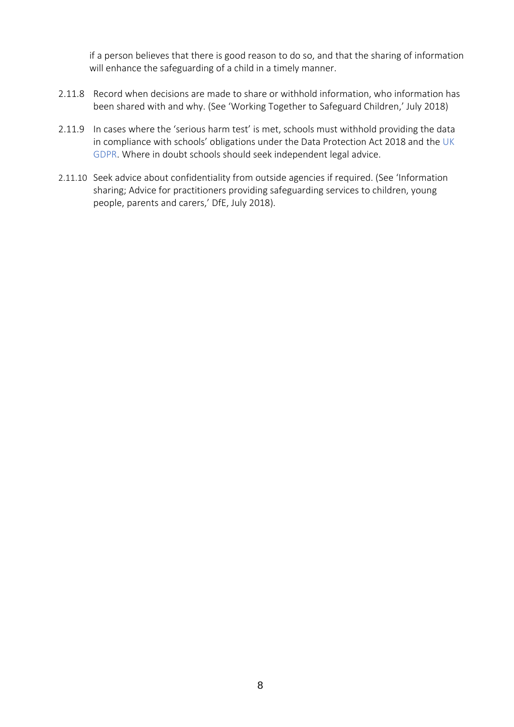if a person believes that there is good reason to do so, and that the sharing of information will enhance the safeguarding of a child in a timely manner.

- 2.11.8 Record when decisions are made to share or withhold information, who information has been shared with and why. (See 'Working Together to Safeguard Children,' July 2018)
- 2.11.9 In cases where the 'serious harm test' is met, schools must withhold providing the data in compliance with schools' obligations under the Data Protection Act 2018 and the UK GDPR. Where in doubt schools should seek independent legal advice.
- 2.11.10 Seek advice about confidentiality from outside agencies if required. (See 'Information sharing; Advice for practitioners providing safeguarding services to children, young people, parents and carers,' DfE, July 2018).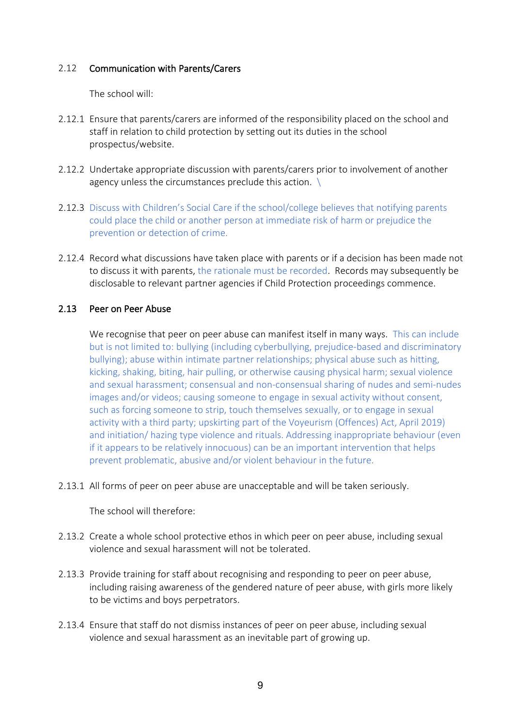#### 2.12 Communication with Parents/Carers

The school will:

- 2.12.1 Ensure that parents/carers are informed of the responsibility placed on the school and staff in relation to child protection by setting out its duties in the school prospectus/website.
- 2.12.2 Undertake appropriate discussion with parents/carers prior to involvement of another agency unless the circumstances preclude this action.  $\setminus$
- 2.12.3 Discuss with Children's Social Care if the school/college believes that notifying parents could place the child or another person at immediate risk of harm or prejudice the prevention or detection of crime.
- 2.12.4 Record what discussions have taken place with parents or if a decision has been made not to discuss it with parents, the rationale must be recorded. Records may subsequently be disclosable to relevant partner agencies if Child Protection proceedings commence.

#### 2.13 Peer on Peer Abuse

We recognise that peer on peer abuse can manifest itself in many ways. This can include but is not limited to: bullying (including cyberbullying, prejudice-based and discriminatory bullying); abuse within intimate partner relationships; physical abuse such as hitting, kicking, shaking, biting, hair pulling, or otherwise causing physical harm; sexual violence and sexual harassment; consensual and non-consensual sharing of nudes and semi-nudes images and/or videos; causing someone to engage in sexual activity without consent, such as forcing someone to strip, touch themselves sexually, or to engage in sexual activity with a third party; upskirting part of the Voyeurism (Offences) Act, April 2019) and initiation/ hazing type violence and rituals. Addressing inappropriate behaviour (even if it appears to be relatively innocuous) can be an important intervention that helps prevent problematic, abusive and/or violent behaviour in the future.

2.13.1 All forms of peer on peer abuse are unacceptable and will be taken seriously.

The school will therefore:

- 2.13.2 Create a whole school protective ethos in which peer on peer abuse, including sexual violence and sexual harassment will not be tolerated.
- 2.13.3 Provide training for staff about recognising and responding to peer on peer abuse, including raising awareness of the gendered nature of peer abuse, with girls more likely to be victims and boys perpetrators.
- 2.13.4 Ensure that staff do not dismiss instances of peer on peer abuse, including sexual violence and sexual harassment as an inevitable part of growing up.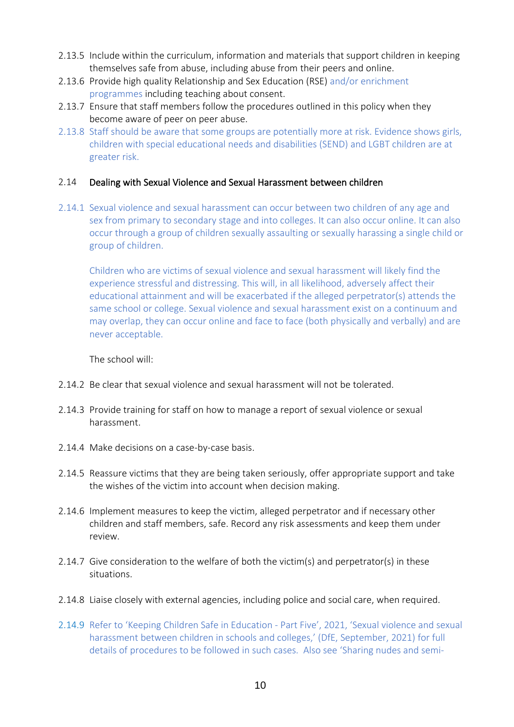- 2.13.5 Include within the curriculum, information and materials that support children in keeping themselves safe from abuse, including abuse from their peers and online.
- 2.13.6 Provide high quality Relationship and Sex Education (RSE) and/or enrichment programmes including teaching about consent.
- 2.13.7 Ensure that staff members follow the procedures outlined in this policy when they become aware of peer on peer abuse.
- 2.13.8 Staff should be aware that some groups are potentially more at risk. Evidence shows girls, children with special educational needs and disabilities (SEND) and LGBT children are at greater risk.

#### 2.14 Dealing with Sexual Violence and Sexual Harassment between children

2.14.1 Sexual violence and sexual harassment can occur between two children of any age and sex from primary to secondary stage and into colleges. It can also occur online. It can also occur through a group of children sexually assaulting or sexually harassing a single child or group of children.

Children who are victims of sexual violence and sexual harassment will likely find the experience stressful and distressing. This will, in all likelihood, adversely affect their educational attainment and will be exacerbated if the alleged perpetrator(s) attends the same school or college. Sexual violence and sexual harassment exist on a continuum and may overlap, they can occur online and face to face (both physically and verbally) and are never acceptable.

#### The school will:

- 2.14.2 Be clear that sexual violence and sexual harassment will not be tolerated.
- 2.14.3 Provide training for staff on how to manage a report of sexual violence or sexual harassment.
- 2.14.4 Make decisions on a case-by-case basis.
- 2.14.5 Reassure victims that they are being taken seriously, offer appropriate support and take the wishes of the victim into account when decision making.
- 2.14.6 Implement measures to keep the victim, alleged perpetrator and if necessary other children and staff members, safe. Record any risk assessments and keep them under review.
- 2.14.7 Give consideration to the welfare of both the victim(s) and perpetrator(s) in these situations.
- 2.14.8 Liaise closely with external agencies, including police and social care, when required.
- 2.14.9 Refer to 'Keeping Children Safe in Education Part Five', 2021, 'Sexual violence and sexual harassment between children in schools and colleges,' (DfE, September, 2021) for full details of procedures to be followed in such cases. Also see 'Sharing nudes and semi-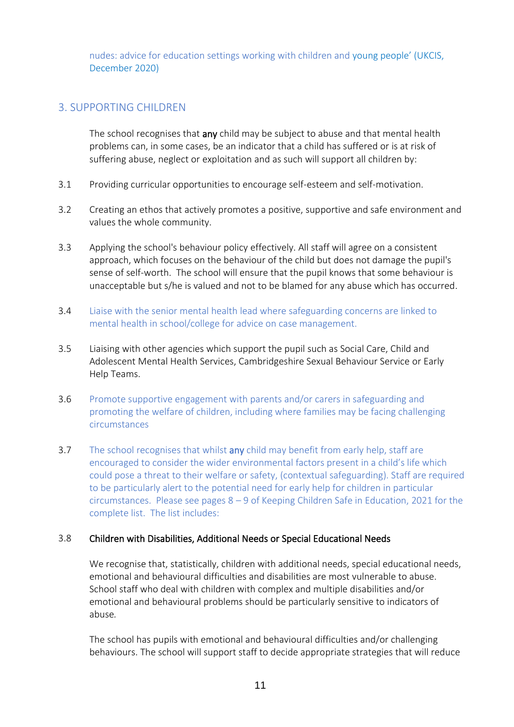nudes: advice for education settings working with children and young people' (UKCIS, December 2020)

# 3. SUPPORTING CHILDREN

The school recognises that any child may be subject to abuse and that mental health problems can, in some cases, be an indicator that a child has suffered or is at risk of suffering abuse, neglect or exploitation and as such will support all children by:

- 3.1 Providing curricular opportunities to encourage self-esteem and self-motivation.
- 3.2 Creating an ethos that actively promotes a positive, supportive and safe environment and values the whole community.
- 3.3 Applying the school's behaviour policy effectively. All staff will agree on a consistent approach, which focuses on the behaviour of the child but does not damage the pupil's sense of self-worth. The school will ensure that the pupil knows that some behaviour is unacceptable but s/he is valued and not to be blamed for any abuse which has occurred.
- 3.4 Liaise with the senior mental health lead where safeguarding concerns are linked to mental health in school/college for advice on case management.
- 3.5 Liaising with other agencies which support the pupil such as Social Care, Child and Adolescent Mental Health Services, Cambridgeshire Sexual Behaviour Service or Early Help Teams.
- 3.6 Promote supportive engagement with parents and/or carers in safeguarding and promoting the welfare of children, including where families may be facing challenging circumstances
- 3.7 The school recognises that whilst any child may benefit from early help, staff are encouraged to consider the wider environmental factors present in a child's life which could pose a threat to their welfare or safety, (contextual safeguarding). Staff are required to be particularly alert to the potential need for early help for children in particular circumstances. Please see pages 8 – 9 of Keeping Children Safe in Education, 2021 for the complete list. The list includes:

# 3.8 Children with Disabilities, Additional Needs or Special Educational Needs

We recognise that, statistically, children with additional needs, special educational needs, emotional and behavioural difficulties and disabilities are most vulnerable to abuse. School staff who deal with children with complex and multiple disabilities and/or emotional and behavioural problems should be particularly sensitive to indicators of abuse*.* 

The school has pupils with emotional and behavioural difficulties and/or challenging behaviours. The school will support staff to decide appropriate strategies that will reduce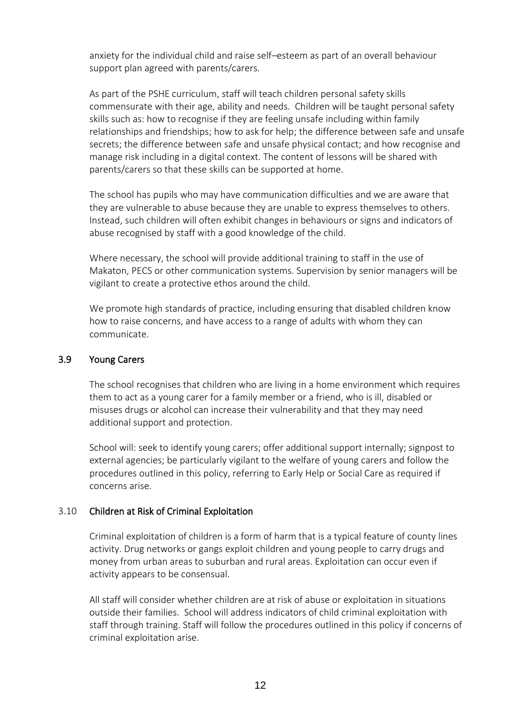anxiety for the individual child and raise self–esteem as part of an overall behaviour support plan agreed with parents/carers.

As part of the PSHE curriculum, staff will teach children personal safety skills commensurate with their age, ability and needs. Children will be taught personal safety skills such as: how to recognise if they are feeling unsafe including within family relationships and friendships; how to ask for help; the difference between safe and unsafe secrets; the difference between safe and unsafe physical contact; and how recognise and manage risk including in a digital context. The content of lessons will be shared with parents/carers so that these skills can be supported at home.

The school has pupils who may have communication difficulties and we are aware that they are vulnerable to abuse because they are unable to express themselves to others. Instead, such children will often exhibit changes in behaviours or signs and indicators of abuse recognised by staff with a good knowledge of the child.

Where necessary, the school will provide additional training to staff in the use of Makaton, PECS or other communication systems. Supervision by senior managers will be vigilant to create a protective ethos around the child.

We promote high standards of practice, including ensuring that disabled children know how to raise concerns, and have access to a range of adults with whom they can communicate.

#### 3.9 Young Carers

The school recognises that children who are living in a home environment which requires them to act as a young carer for a family member or a friend, who is ill, disabled or misuses drugs or alcohol can increase their vulnerability and that they may need additional support and protection.

School will: seek to identify young carers; offer additional support internally; signpost to external agencies; be particularly vigilant to the welfare of young carers and follow the procedures outlined in this policy, referring to Early Help or Social Care as required if concerns arise.

#### 3.10 Children at Risk of Criminal Exploitation

Criminal exploitation of children is a form of harm that is a typical feature of county lines activity. Drug networks or gangs exploit children and young people to carry drugs and money from urban areas to suburban and rural areas. Exploitation can occur even if activity appears to be consensual.

All staff will consider whether children are at risk of abuse or exploitation in situations outside their families. School will address indicators of child criminal exploitation with staff through training. Staff will follow the procedures outlined in this policy if concerns of criminal exploitation arise.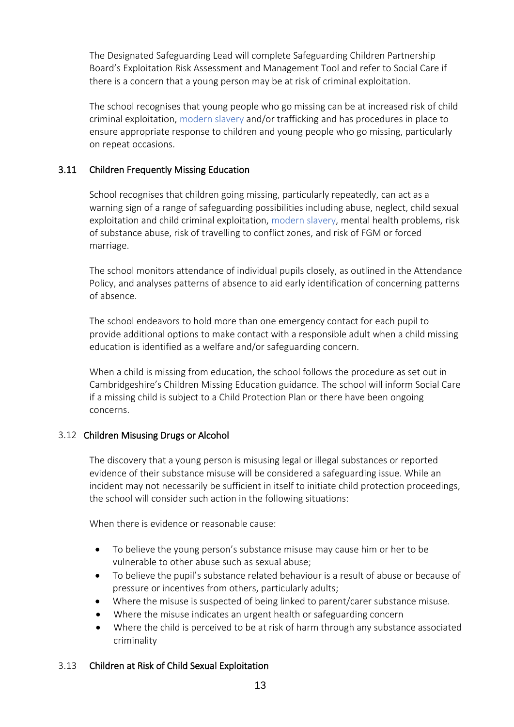The Designated Safeguarding Lead will complete Safeguarding Children Partnership Board's [Exploitation Risk Assessment and Management Tool](http://www.safeguardingcambspeterborough.org.uk/wp-content/uploads/2018/05/Exploitation-CSECCE-Risk-Assessment-Tool.docx) and refer to Social Care if there is a concern that a young person may be at risk of criminal exploitation.

The school recognises that young people who go missing can be at increased risk of child criminal exploitation, modern slavery and/or trafficking and has procedures in place to ensure appropriate response to children and young people who go missing, particularly on repeat occasions.

#### 3.11 Children Frequently Missing Education

School recognises that children going missing, particularly repeatedly, can act as a warning sign of a range of safeguarding possibilities including abuse, neglect, child sexual exploitation and child criminal exploitation, modern slavery, mental health problems, risk of substance abuse, risk of travelling to conflict zones, and risk of FGM or forced marriage.

The school monitors attendance of individual pupils closely, as outlined in the Attendance Policy, and analyses patterns of absence to aid early identification of concerning patterns of absence.

The school endeavors to hold more than one emergency contact for each pupil to provide additional options to make contact with a responsible adult when a child missing education is identified as a welfare and/or safeguarding concern.

When a child is missing from education, the school follows the procedure as set out in Cambridgeshire's Children Missing Education guidance. The school will inform Social Care if a missing child is subject to a Child Protection Plan or there have been ongoing concerns.

#### 3.12 Children Misusing Drugs or Alcohol

The discovery that a young person is misusing legal or illegal substances or reported evidence of their substance misuse will be considered a safeguarding issue. While an incident may not necessarily be sufficient in itself to initiate child protection proceedings, the school will consider such action in the following situations:

When there is evidence or reasonable cause:

- To believe the young person's substance misuse may cause him or her to be vulnerable to other abuse such as sexual abuse;
- To believe the pupil's substance related behaviour is a result of abuse or because of pressure or incentives from others, particularly adults;
- Where the misuse is suspected of being linked to parent/carer substance misuse.
- Where the misuse indicates an urgent health or safeguarding concern
- Where the child is perceived to be at risk of harm through any substance associated criminality

#### 3.13 Children at Risk of Child Sexual Exploitation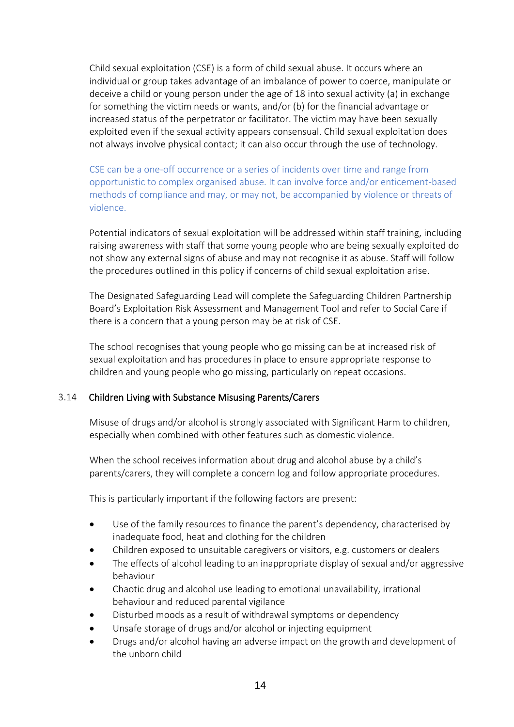Child sexual exploitation (CSE) is a form of child sexual abuse. It occurs where an individual or group takes advantage of an imbalance of power to coerce, manipulate or deceive a child or young person under the age of 18 into sexual activity (a) in exchange for something the victim needs or wants, and/or (b) for the financial advantage or increased status of the perpetrator or facilitator. The victim may have been sexually exploited even if the sexual activity appears consensual. Child sexual exploitation does not always involve physical contact; it can also occur through the use of technology.

CSE can be a one-off occurrence or a series of incidents over time and range from opportunistic to complex organised abuse. It can involve force and/or enticement-based methods of compliance and may, or may not, be accompanied by violence or threats of violence.

Potential indicators of sexual exploitation will be addressed within staff training, including raising awareness with staff that some young people who are being sexually exploited do not show any external signs of abuse and may not recognise it as abuse. Staff will follow the procedures outlined in this policy if concerns of child sexual exploitation arise.

The Designated Safeguarding Lead will complete the Safeguarding Children Partnership Board's [Exploitation Risk Assessment and Management Tool](http://www.safeguardingcambspeterborough.org.uk/wp-content/uploads/2018/05/Exploitation-CSECCE-Risk-Assessment-Tool.docx) and refer to Social Care if there is a concern that a young person may be at risk of CSE.

The school recognises that young people who go missing can be at increased risk of sexual exploitation and has procedures in place to ensure appropriate response to children and young people who go missing, particularly on repeat occasions.

#### 3.14 Children Living with Substance Misusing Parents/Carers

Misuse of drugs and/or alcohol is strongly associated with Significant Harm to children, especially when combined with other features such as domestic violence.

When the school receives information about drug and alcohol abuse by a child's parents/carers, they will complete a concern log and follow appropriate procedures.

This is particularly important if the following factors are present:

- Use of the family resources to finance the parent's dependency, characterised by inadequate food, heat and clothing for the children
- Children exposed to unsuitable caregivers or visitors, e.g. customers or dealers
- The effects of alcohol leading to an inappropriate display of sexual and/or aggressive behaviour
- Chaotic drug and alcohol use leading to emotional unavailability, irrational behaviour and reduced parental vigilance
- Disturbed moods as a result of withdrawal symptoms or dependency
- Unsafe storage of drugs and/or alcohol or injecting equipment
- Drugs and/or alcohol having an adverse impact on the growth and development of the unborn child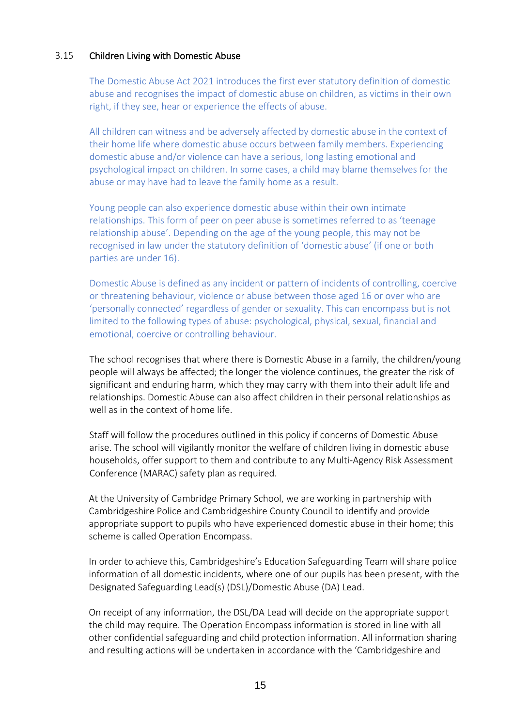#### 3.15 Children Living with Domestic Abuse

The Domestic Abuse Act 2021 introduces the first ever statutory definition of domestic abuse and recognises the impact of domestic abuse on children, as victims in their own right, if they see, hear or experience the effects of abuse.

All children can witness and be adversely affected by domestic abuse in the context of their home life where domestic abuse occurs between family members. Experiencing domestic abuse and/or violence can have a serious, long lasting emotional and psychological impact on children. In some cases, a child may blame themselves for the abuse or may have had to leave the family home as a result.

Young people can also experience domestic abuse within their own intimate relationships. This form of peer on peer abuse is sometimes referred to as 'teenage relationship abuse'. Depending on the age of the young people, this may not be recognised in law under the statutory definition of 'domestic abuse' (if one or both parties are under 16).

Domestic Abuse is defined as any incident or pattern of incidents of controlling, coercive or threatening behaviour, violence or abuse between those aged 16 or over who are 'personally connected' regardless of gender or sexuality. This can encompass but is not limited to the following types of abuse: psychological, physical, sexual, financial and emotional, coercive or controlling behaviour.

The school recognises that where there is Domestic Abuse in a family, the children/young people will always be affected; the longer the violence continues, the greater the risk of significant and enduring harm, which they may carry with them into their adult life and relationships. Domestic Abuse can also affect children in their personal relationships as well as in the context of home life.

Staff will follow the procedures outlined in this policy if concerns of Domestic Abuse arise. The school will vigilantly monitor the welfare of children living in domestic abuse households, offer support to them and contribute to any Multi-Agency Risk Assessment Conference (MARAC) safety plan as required.

At the University of Cambridge Primary School, we are working in partnership with Cambridgeshire Police and Cambridgeshire County Council to identify and provide appropriate support to pupils who have experienced domestic abuse in their home; this scheme is called Operation Encompass.

In order to achieve this, Cambridgeshire's Education Safeguarding Team will share police information of all domestic incidents, where one of our pupils has been present, with the Designated Safeguarding Lead(s) (DSL)/Domestic Abuse (DA) Lead.

On receipt of any information, the DSL/DA Lead will decide on the appropriate support the child may require. The Operation Encompass information is stored in line with all other confidential safeguarding and child protection information. All information sharing and resulting actions will be undertaken in accordance with the 'Cambridgeshire and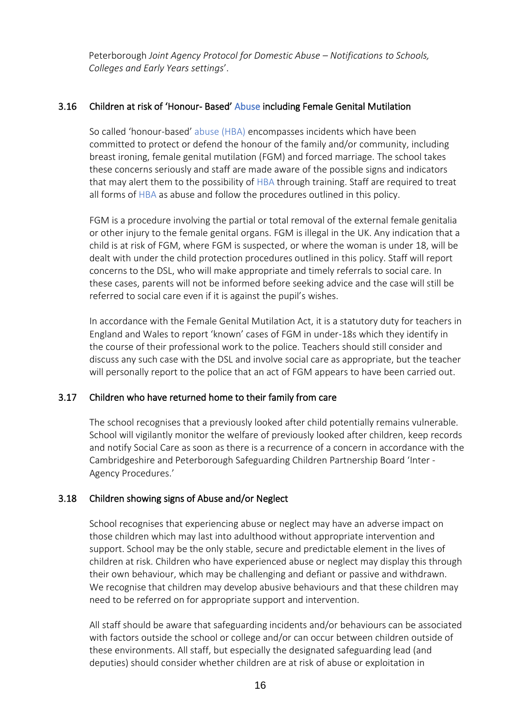Peterborough *Joint Agency Protocol for Domestic Abuse – Notifications to Schools, Colleges and Early Years settings*'.

#### 3.16 Children at risk of 'Honour- Based' Abuse including Female Genital Mutilation

So called 'honour-based' abuse (HBA) encompasses incidents which have been committed to protect or defend the honour of the family and/or community, including breast ironing, female genital mutilation (FGM) and forced marriage. The school takes these concerns seriously and staff are made aware of the possible signs and indicators that may alert them to the possibility of HBA through training. Staff are required to treat all forms of HBA as abuse and follow the procedures outlined in this policy.

FGM is a procedure involving the partial or total removal of the external female genitalia or other injury to the female genital organs. FGM is illegal in the UK. Any indication that a child is at risk of FGM, where FGM is suspected, or where the woman is under 18, will be dealt with under the child protection procedures outlined in this policy. Staff will report concerns to the DSL, who will make appropriate and timely referrals to social care. In these cases, parents will not be informed before seeking advice and the case will still be referred to social care even if it is against the pupil's wishes.

In accordance with the Female Genital Mutilation Act, it is a statutory duty for teachers in England and Wales to report 'known' cases of FGM in under-18s which they identify in the course of their professional work to the police. Teachers should still consider and discuss any such case with the DSL and involve social care as appropriate, but the teacher will personally report to the police that an act of FGM appears to have been carried out.

#### 3.17 Children who have returned home to their family from care

The school recognises that a previously looked after child potentially remains vulnerable. School will vigilantly monitor the welfare of previously looked after children, keep records and notify Social Care as soon as there is a recurrence of a concern in accordance with the Cambridgeshire and Peterborough Safeguarding Children Partnership Board 'Inter - Agency Procedures.'

# 3.18 Children showing signs of Abuse and/or Neglect

School recognises that experiencing abuse or neglect may have an adverse impact on those children which may last into adulthood without appropriate intervention and support. School may be the only stable, secure and predictable element in the lives of children at risk. Children who have experienced abuse or neglect may display this through their own behaviour, which may be challenging and defiant or passive and withdrawn. We recognise that children may develop abusive behaviours and that these children may need to be referred on for appropriate support and intervention.

All staff should be aware that safeguarding incidents and/or behaviours can be associated with factors outside the school or college and/or can occur between children outside of these environments. All staff, but especially the designated safeguarding lead (and deputies) should consider whether children are at risk of abuse or exploitation in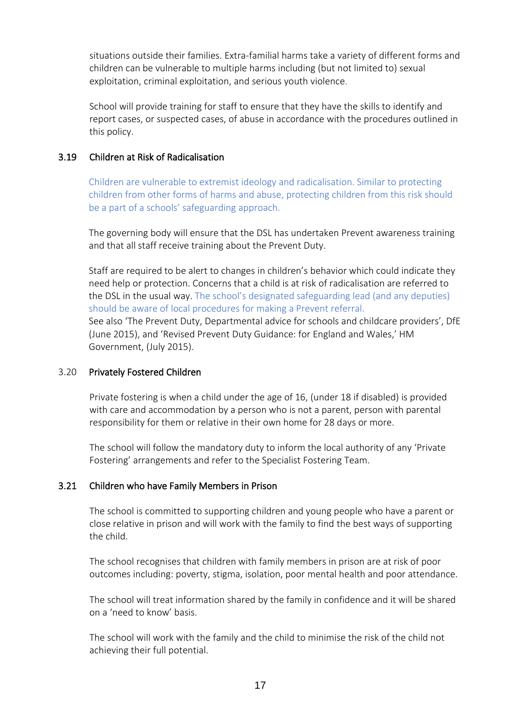situations outside their families. Extra-familial harms take a variety of different forms and children can be vulnerable to multiple harms including (but not limited to) sexual exploitation, criminal exploitation, and serious youth violence.

School will provide training for staff to ensure that they have the skills to identify and report cases, or suspected cases, of abuse in accordance with the procedures outlined in this policy.

#### 3.19 Children at Risk of Radicalisation

Children are vulnerable to extremist ideology and radicalisation. Similar to protecting children from other forms of harms and abuse, protecting children from this risk should be a part of a schools' safeguarding approach.

The governing body will ensure that the DSL has undertaken Prevent awareness training and that all staff receive training about the Prevent Duty.

Staff are required to be alert to changes in children's behavior which could indicate they need help or protection. Concerns that a child is at risk of radicalisation are referred to the DSL in the usual way. The school's designated safeguarding lead (and any deputies) should be aware of local procedures for making a Prevent referral. See also 'The Prevent Duty, Departmental advice for schools and childcare providers', DfE (June 2015), and 'Revised Prevent Duty Guidance: for England and Wales,' HM

Government, (July 2015).

#### 3.20 Privately Fostered Children

Private fostering is when a child under the age of 16, (under 18 if disabled) is provided with care and accommodation by a person who is not a parent, person with parental responsibility for them or relative in their own home for 28 days or more.

The school will follow the mandatory duty to inform the local authority of any 'Private Fostering' arrangements and refer to the Specialist Fostering Team.

#### 3.21 Children who have Family Members in Prison

The school is committed to supporting children and young people who have a parent or close relative in prison and will work with the family to find the best ways of supporting the child.

The school recognises that children with family members in prison are at risk of poor outcomes including: poverty, stigma, isolation, poor mental health and poor attendance.

The school will treat information shared by the family in confidence and it will be shared on a 'need to know' basis.

The school will work with the family and the child to minimise the risk of the child not achieving their full potential.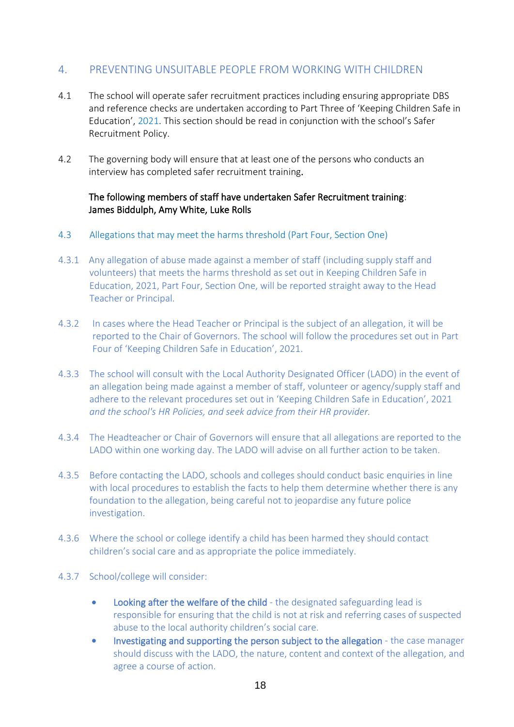# 4. PREVENTING UNSUITABLE PEOPLE FROM WORKING WITH CHILDREN

- 4.1 The school will operate safer recruitment practices including ensuring appropriate DBS and reference checks are undertaken according to Part Three of 'Keeping Children Safe in Education', 2021. This section should be read in conjunction with the school's Safer Recruitment Policy.
- 4.2 The governing body will ensure that at least one of the persons who conducts an interview has completed safer recruitment training.

#### The following members of staff have undertaken Safer Recruitment training: James Biddulph, Amy White, Luke Rolls

- 4.3 Allegations that may meet the harms threshold (Part Four, Section One)
- 4.3.1 Any allegation of abuse made against a member of staff (including supply staff and volunteers) that meets the harms threshold as set out in Keeping Children Safe in Education, 2021, Part Four, Section One, will be reported straight away to the Head Teacher or Principal.
- 4.3.2 In cases where the Head Teacher or Principal is the subject of an allegation, it will be reported to the Chair of Governors. The school will follow the procedures set out in Part Four of 'Keeping Children Safe in Education', 2021.
- 4.3.3 The school will consult with the Local Authority Designated Officer (LADO) in the event of an allegation being made against a member of staff, volunteer or agency/supply staff and adhere to the relevant procedures set out in 'Keeping Children Safe in Education', 2021 *and the school's HR Policies, and seek advice from their HR provider.*
- 4.3.4 The Headteacher or Chair of Governors will ensure that all allegations are reported to the LADO within one working day. The LADO will advise on all further action to be taken.
- 4.3.5 Before contacting the LADO, schools and colleges should conduct basic enquiries in line with local procedures to establish the facts to help them determine whether there is any foundation to the allegation, being careful not to jeopardise any future police investigation.
- 4.3.6 Where the school or college identify a child has been harmed they should contact children's social care and as appropriate the police immediately.
- 4.3.7 School/college will consider:
	- Looking after the welfare of the child the designated safeguarding lead is responsible for ensuring that the child is not at risk and referring cases of suspected abuse to the local authority children's social care.
	- Investigating and supporting the person subject to the allegation the case manager should discuss with the LADO, the nature, content and context of the allegation, and agree a course of action.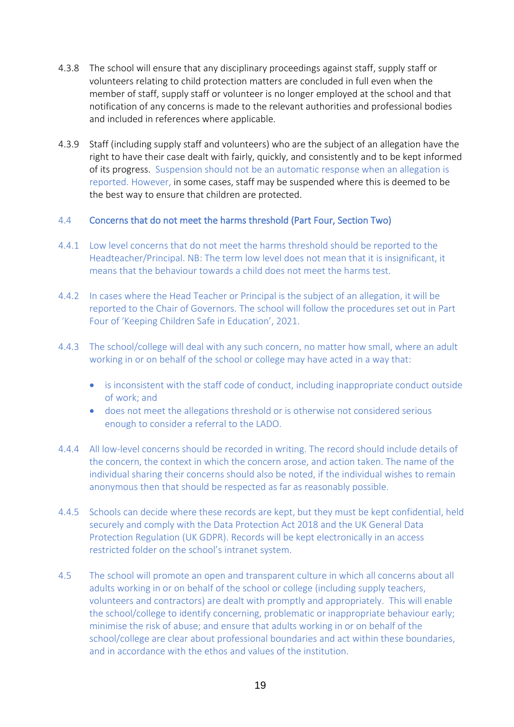- 4.3.8 The school will ensure that any disciplinary proceedings against staff, supply staff or volunteers relating to child protection matters are concluded in full even when the member of staff, supply staff or volunteer is no longer employed at the school and that notification of any concerns is made to the relevant authorities and professional bodies and included in references where applicable.
- 4.3.9 Staff (including supply staff and volunteers) who are the subject of an allegation have the right to have their case dealt with fairly, quickly, and consistently and to be kept informed of its progress. Suspension should not be an automatic response when an allegation is reported. However, in some cases, staff may be suspended where this is deemed to be the best way to ensure that children are protected.

#### 4.4 Concerns that do not meet the harms threshold (Part Four, Section Two)

- 4.4.1 Low level concerns that do not meet the harms threshold should be reported to the Headteacher/Principal. NB: The term low level does not mean that it is insignificant, it means that the behaviour towards a child does not meet the harms test.
- 4.4.2 In cases where the Head Teacher or Principal is the subject of an allegation, it will be reported to the Chair of Governors. The school will follow the procedures set out in Part Four of 'Keeping Children Safe in Education', 2021.
- 4.4.3 The school/college will deal with any such concern, no matter how small, where an adult working in or on behalf of the school or college may have acted in a way that:
	- is inconsistent with the staff code of conduct, including inappropriate conduct outside of work; and
	- does not meet the allegations threshold or is otherwise not considered serious enough to consider a referral to the LADO.
- 4.4.4 All low-level concerns should be recorded in writing. The record should include details of the concern, the context in which the concern arose, and action taken. The name of the individual sharing their concerns should also be noted, if the individual wishes to remain anonymous then that should be respected as far as reasonably possible.
- 4.4.5 Schools can decide where these records are kept, but they must be kept confidential, held securely and comply with the Data Protection Act 2018 and the UK General Data Protection Regulation (UK GDPR). Records will be kept electronically in an access restricted folder on the school's intranet system.
- 4.5 The school will promote an open and transparent culture in which all concerns about all adults working in or on behalf of the school or college (including supply teachers, volunteers and contractors) are dealt with promptly and appropriately. This will enable the school/college to identify concerning, problematic or inappropriate behaviour early; minimise the risk of abuse; and ensure that adults working in or on behalf of the school/college are clear about professional boundaries and act within these boundaries, and in accordance with the ethos and values of the institution.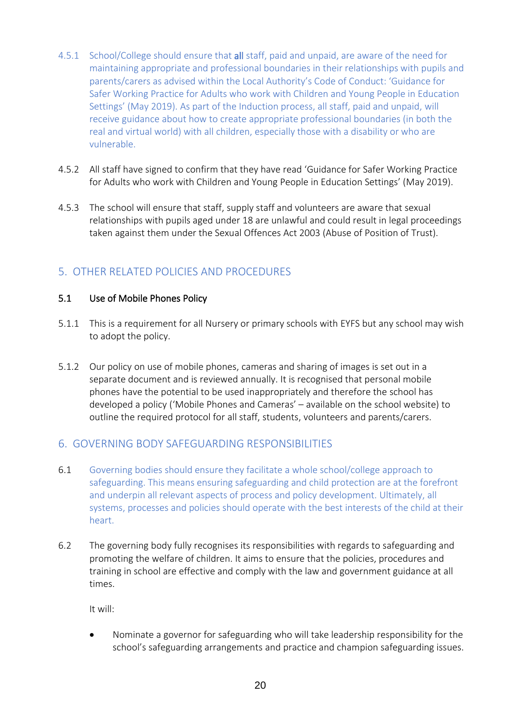- 4.5.1 School/College should ensure that all staff, paid and unpaid, are aware of the need for maintaining appropriate and professional boundaries in their relationships with pupils and parents/carers as advised within the Local Authority's Code of Conduct: 'Guidance for Safer Working Practice for Adults who work with Children and Young People in Education Settings' (May 2019). As part of the Induction process, all staff, paid and unpaid, will receive guidance about how to create appropriate professional boundaries (in both the real and virtual world) with all children, especially those with a disability or who are vulnerable.
- 4.5.2 All staff have signed to confirm that they have read 'Guidance for Safer Working Practice for Adults who work with Children and Young People in Education Settings' (May 2019).
- 4.5.3 The school will ensure that staff, supply staff and volunteers are aware that sexual relationships with pupils aged under 18 are unlawful and could result in legal proceedings taken against them under the Sexual Offences Act 2003 (Abuse of Position of Trust).

# 5. OTHER RELATED POLICIES AND PROCEDURES

#### 5.1 Use of Mobile Phones Policy

- 5.1.1 This is a requirement for all Nursery or primary schools with EYFS but any school may wish to adopt the policy.
- 5.1.2 Our policy on use of mobile phones, cameras and sharing of images is set out in a separate document and is reviewed annually. It is recognised that personal mobile phones have the potential to be used inappropriately and therefore the school has developed a policy ('Mobile Phones and Cameras' – available on the school website) to outline the required protocol for all staff, students, volunteers and parents/carers.

# 6. GOVERNING BODY SAFEGUARDING RESPONSIBILITIES

- 6.1 Governing bodies should ensure they facilitate a whole school/college approach to safeguarding. This means ensuring safeguarding and child protection are at the forefront and underpin all relevant aspects of process and policy development. Ultimately, all systems, processes and policies should operate with the best interests of the child at their heart.
- 6.2 The governing body fully recognises its responsibilities with regards to safeguarding and promoting the welfare of children. It aims to ensure that the policies, procedures and training in school are effective and comply with the law and government guidance at all times.

It will:

• Nominate a governor for safeguarding who will take leadership responsibility for the school's safeguarding arrangements and practice and champion safeguarding issues.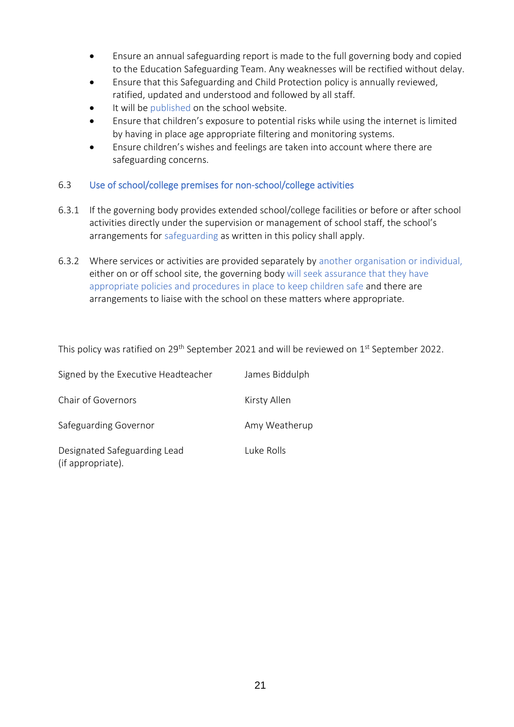- Ensure an annual safeguarding report is made to the full governing body and copied to the Education Safeguarding Team. Any weaknesses will be rectified without delay.
- Ensure that this Safeguarding and Child Protection policy is annually reviewed, ratified, updated and understood and followed by all staff.
- It will be published on the school website.
- Ensure that children's exposure to potential risks while using the internet is limited by having in place age appropriate filtering and monitoring systems.
- Ensure children's wishes and feelings are taken into account where there are safeguarding concerns.

#### 6.3 Use of school/college premises for non-school/college activities

- 6.3.1 If the governing body provides extended school/college facilities or before or after school activities directly under the supervision or management of school staff, the school's arrangements for safeguarding as written in this policy shall apply.
- 6.3.2 Where services or activities are provided separately by another organisation or individual, either on or off school site, the governing body will seek assurance that they have appropriate policies and procedures in place to keep children safe and there are arrangements to liaise with the school on these matters where appropriate.

This policy was ratified on 29<sup>th</sup> September 2021 and will be reviewed on  $1^{\rm st}$  September 2022.

| Signed by the Executive Headteacher               | James Biddulph |
|---------------------------------------------------|----------------|
| Chair of Governors                                | Kirsty Allen   |
| Safeguarding Governor                             | Amy Weatherup  |
| Designated Safeguarding Lead<br>(if appropriate). | Tuke Rolls     |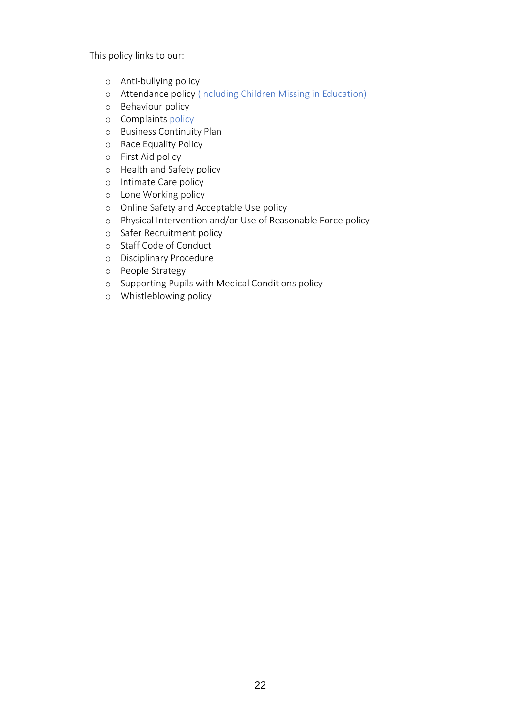This policy links to our:

- o Anti-bullying policy
- o Attendance policy (including Children Missing in Education)
- o Behaviour policy
- o Complaints policy
- o Business Continuity Plan
- o Race Equality Policy
- o First Aid policy
- o Health and Safety policy
- o Intimate Care policy
- o Lone Working policy
- o Online Safety and Acceptable Use policy
- o Physical Intervention and/or Use of Reasonable Force policy
- o Safer Recruitment policy
- o Staff Code of Conduct
- o Disciplinary Procedure
- o People Strategy
- o Supporting Pupils with Medical Conditions policy
- o Whistleblowing policy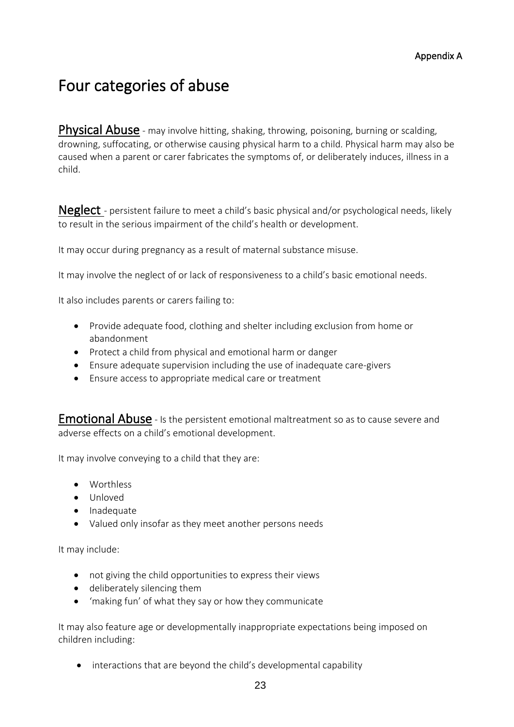# Four categories of abuse

Physical Abuse - may involve hitting, shaking, throwing, poisoning, burning or scalding, drowning, suffocating, or otherwise causing physical harm to a child. Physical harm may also be caused when a parent or carer fabricates the symptoms of, or deliberately induces, illness in a child.

Neglect - persistent failure to meet a child's basic physical and/or psychological needs, likely to result in the serious impairment of the child's health or development.

It may occur during pregnancy as a result of maternal substance misuse.

It may involve the neglect of or lack of responsiveness to a child's basic emotional needs.

It also includes parents or carers failing to:

- Provide adequate food, clothing and shelter including exclusion from home or abandonment
- Protect a child from physical and emotional harm or danger
- Ensure adequate supervision including the use of inadequate care-givers
- Ensure access to appropriate medical care or treatment

**Emotional Abuse** - Is the persistent emotional maltreatment so as to cause severe and adverse effects on a child's emotional development.

It may involve conveying to a child that they are:

- Worthless
- Unloved
- Inadequate
- Valued only insofar as they meet another persons needs

It may include:

- not giving the child opportunities to express their views
- deliberately silencing them
- 'making fun' of what they say or how they communicate

It may also feature age or developmentally inappropriate expectations being imposed on children including:

• interactions that are beyond the child's developmental capability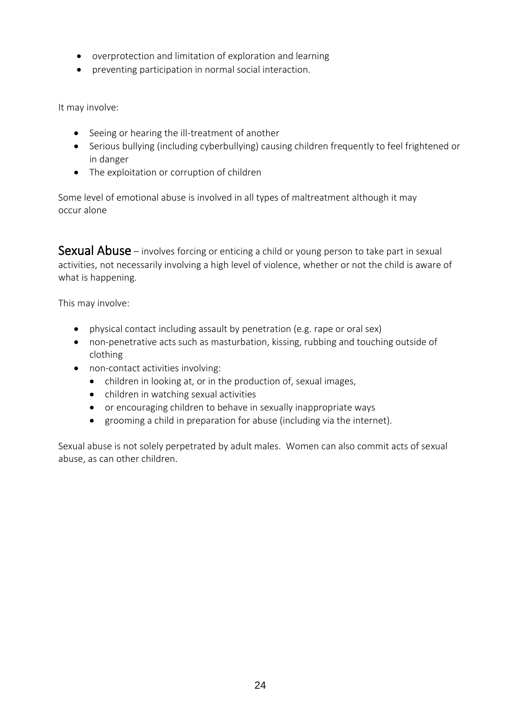- overprotection and limitation of exploration and learning
- preventing participation in normal social interaction.

It may involve:

- Seeing or hearing the ill-treatment of another
- Serious bullying (including cyberbullying) causing children frequently to feel frightened or in danger
- The exploitation or corruption of children

Some level of emotional abuse is involved in all types of maltreatment although it may occur alone

Sexual Abuse – involves forcing or enticing a child or young person to take part in sexual activities, not necessarily involving a high level of violence, whether or not the child is aware of what is happening.

This may involve:

- physical contact including assault by penetration (e.g. rape or oral sex)
- non-penetrative acts such as masturbation, kissing, rubbing and touching outside of clothing
- non-contact activities involving:
	- children in looking at, or in the production of, sexual images,
	- children in watching sexual activities
	- or encouraging children to behave in sexually inappropriate ways
	- grooming a child in preparation for abuse (including via the internet).

Sexual abuse is not solely perpetrated by adult males. Women can also commit acts of sexual abuse, as can other children.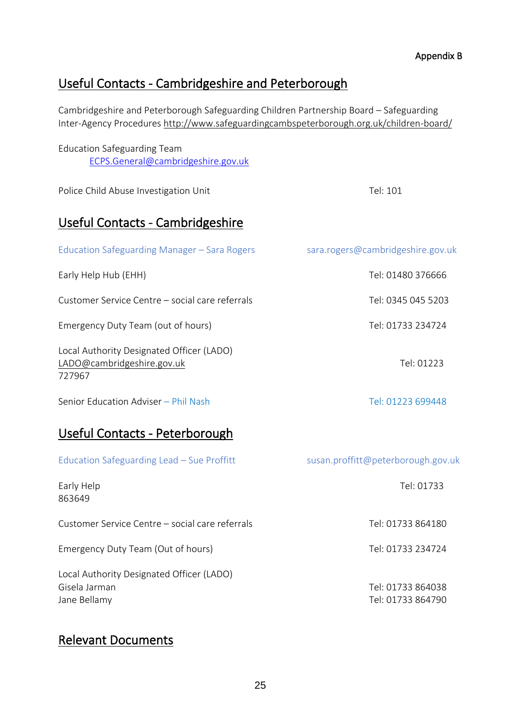# Useful Contacts - Cambridgeshire and Peterborough

Cambridgeshire and Peterborough Safeguarding Children Partnership Board – Safeguarding Inter-Agency Procedures<http://www.safeguardingcambspeterborough.org.uk/children-board/>

| <b>Education Safeguarding Team</b> |
|------------------------------------|
| ECPS.General@cambridgeshire.gov.uk |

Police Child Abuse Investigation Unit Tel: 101

# Useful Contacts - Cambridgeshire

| Education Safeguarding Manager – Sara Rogers                                      | sara.rogers@cambridgeshire.gov.uk |
|-----------------------------------------------------------------------------------|-----------------------------------|
| Early Help Hub (EHH)                                                              | Tel: 01480 376666                 |
| Customer Service Centre – social care referrals                                   | Tel: 0345 045 5203                |
| Emergency Duty Team (out of hours)                                                | Tel: 01733 234724                 |
| Local Authority Designated Officer (LADO)<br>LADO@cambridgeshire.gov.uk<br>727967 | Tel: 01223                        |

Senior Education Adviser – Phil Nash Tel: 01223 699448

# Useful Contacts - Peterborough

| Education Safeguarding Lead - Sue Proffitt                                 | susan.proffitt@peterborough.gov.uk     |
|----------------------------------------------------------------------------|----------------------------------------|
| Early Help<br>863649                                                       | Tel: 01733                             |
| Customer Service Centre – social care referrals                            | Tel: 01733 864180                      |
| Emergency Duty Team (Out of hours)                                         | Tel: 01733 234724                      |
| Local Authority Designated Officer (LADO)<br>Gisela Jarman<br>Jane Bellamy | Tel: 01733 864038<br>Tel: 01733 864790 |

# Relevant Documents